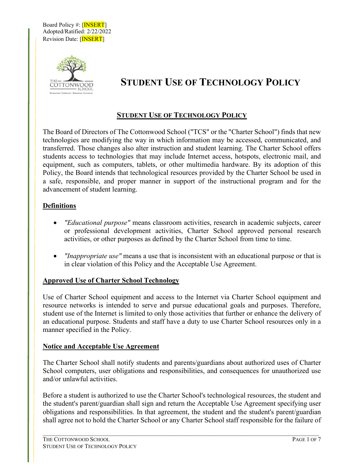Board Policy #: [INSERT] Adopted/Ratified: 2/22/2022 Revision Date: [INSERT]



# **STUDENT USE OF TECHNOLOGY POLICY**

# **STUDENT USE OF TECHNOLOGY POLICY**

The Board of Directors of The Cottonwood School ("TCS" or the "Charter School") finds that new technologies are modifying the way in which information may be accessed, communicated, and transferred. Those changes also alter instruction and student learning. The Charter School offers students access to technologies that may include Internet access, hotspots, electronic mail, and equipment, such as computers, tablets, or other multimedia hardware. By its adoption of this Policy, the Board intends that technological resources provided by the Charter School be used in a safe, responsible, and proper manner in support of the instructional program and for the advancement of student learning.

## **Definitions**

- *"Educational purpose"* means classroom activities, research in academic subjects, career or professional development activities, Charter School approved personal research activities, or other purposes as defined by the Charter School from time to time.
- *"Inappropriate use"* means a use that is inconsistent with an educational purpose or that is in clear violation of this Policy and the Acceptable Use Agreement.

#### **Approved Use of Charter School Technology**

Use of Charter School equipment and access to the Internet via Charter School equipment and resource networks is intended to serve and pursue educational goals and purposes. Therefore, student use of the Internet is limited to only those activities that further or enhance the delivery of an educational purpose. Students and staff have a duty to use Charter School resources only in a manner specified in the Policy.

#### **Notice and Acceptable Use Agreement**

The Charter School shall notify students and parents/guardians about authorized uses of Charter School computers, user obligations and responsibilities, and consequences for unauthorized use and/or unlawful activities.

Before a student is authorized to use the Charter School's technological resources, the student and the student's parent/guardian shall sign and return the Acceptable Use Agreement specifying user obligations and responsibilities. In that agreement, the student and the student's parent/guardian shall agree not to hold the Charter School or any Charter School staff responsible for the failure of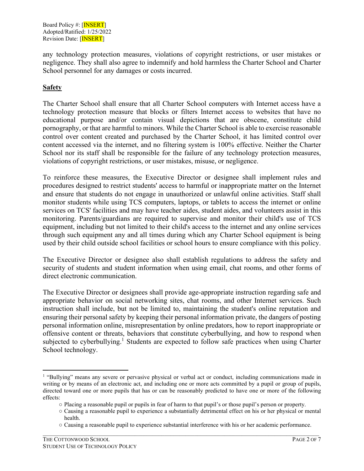any technology protection measures, violations of copyright restrictions, or user mistakes or negligence. They shall also agree to indemnify and hold harmless the Charter School and Charter School personnel for any damages or costs incurred.

# **Safety**

The Charter School shall ensure that all Charter School computers with Internet access have a technology protection measure that blocks or filters Internet access to websites that have no educational purpose and/or contain visual depictions that are obscene, constitute child pornography, or that are harmful to minors. While the Charter School is able to exercise reasonable control over content created and purchased by the Charter School, it has limited control over content accessed via the internet, and no filtering system is 100% effective. Neither the Charter School nor its staff shall be responsible for the failure of any technology protection measures, violations of copyright restrictions, or user mistakes, misuse, or negligence.

To reinforce these measures, the Executive Director or designee shall implement rules and procedures designed to restrict students' access to harmful or inappropriate matter on the Internet and ensure that students do not engage in unauthorized or unlawful online activities. Staff shall monitor students while using TCS computers, laptops, or tablets to access the internet or online services on TCS' facilities and may have teacher aides, student aides, and volunteers assist in this monitoring. Parents/guardians are required to supervise and monitor their child's use of TCS equipment, including but not limited to their child's access to the internet and any online services through such equipment any and all times during which any Charter School equipment is being used by their child outside school facilities or school hours to ensure compliance with this policy.

The Executive Director or designee also shall establish regulations to address the safety and security of students and student information when using email, chat rooms, and other forms of direct electronic communication.

The Executive Director or designees shall provide age-appropriate instruction regarding safe and appropriate behavior on social networking sites, chat rooms, and other Internet services. Such instruction shall include, but not be limited to, maintaining the student's online reputation and ensuring their personal safety by keeping their personal information private, the dangers of posting personal information online, misrepresentation by online predators, how to report inappropriate or offensive content or threats, behaviors that constitute cyberbullying, and how to respond when subjected to cyberbullying.<sup>1</sup> Students are expected to follow safe practices when using Charter School technology.

<sup>&</sup>lt;sup>1</sup> "Bullying" means any severe or pervasive physical or verbal act or conduct, including communications made in writing or by means of an electronic act, and including one or more acts committed by a pupil or group of pupils, directed toward one or more pupils that has or can be reasonably predicted to have one or more of the following effects:

<sup>○</sup> Placing a reasonable pupil or pupils in fear of harm to that pupil's or those pupil's person or property.

<sup>○</sup> Causing a reasonable pupil to experience a substantially detrimental effect on his or her physical or mental health.

<sup>○</sup> Causing a reasonable pupil to experience substantial interference with his or her academic performance.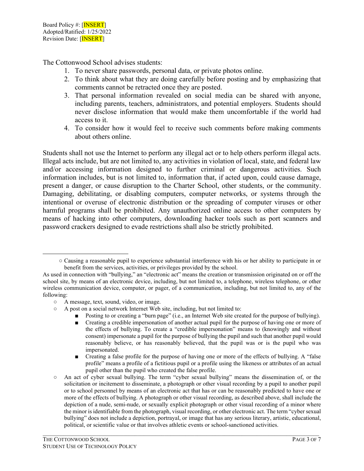The Cottonwood School advises students:

- 1. To never share passwords, personal data, or private photos online.
- 2. To think about what they are doing carefully before posting and by emphasizing that comments cannot be retracted once they are posted.
- 3. That personal information revealed on social media can be shared with anyone, including parents, teachers, administrators, and potential employers. Students should never disclose information that would make them uncomfortable if the world had access to it.
- 4. To consider how it would feel to receive such comments before making comments about others online.

Students shall not use the Internet to perform any illegal act or to help others perform illegal acts. Illegal acts include, but are not limited to, any activities in violation of local, state, and federal law and/or accessing information designed to further criminal or dangerous activities. Such information includes, but is not limited to, information that, if acted upon, could cause damage, present a danger, or cause disruption to the Charter School, other students, or the community. Damaging, debilitating, or disabling computers, computer networks, or systems through the intentional or overuse of electronic distribution or the spreading of computer viruses or other harmful programs shall be prohibited. Any unauthorized online access to other computers by means of hacking into other computers, downloading hacker tools such as port scanners and password crackers designed to evade restrictions shall also be strictly prohibited.

- A post on a social network Internet Web site, including, but not limited to:
	- Posting to or creating a "burn page" (i.e., an Internet Web site created for the purpose of bullying).
	- Creating a credible impersonation of another actual pupil for the purpose of having one or more of the effects of bullying. To create a "credible impersonation" means to (knowingly and without consent) impersonate a pupil for the purpose of bullying the pupil and such that another pupil would reasonably believe, or has reasonably believed, that the pupil was or is the pupil who was impersonated.
	- Creating a false profile for the purpose of having one or more of the effects of bullying. A "false" profile" means a profile of a fictitious pupil or a profile using the likeness or attributes of an actual pupil other than the pupil who created the false profile.
- An act of cyber sexual bullying. The term "cyber sexual bullying" means the dissemination of, or the solicitation or incitement to disseminate, a photograph or other visual recording by a pupil to another pupil or to school personnel by means of an electronic act that has or can be reasonably predicted to have one or more of the effects of bullying. A photograph or other visual recording, as described above, shall include the depiction of a nude, semi-nude, or sexually explicit photograph or other visual recording of a minor where the minor is identifiable from the photograph, visual recording, or other electronic act. The term "cyber sexual bullying" does not include a depiction, portrayal, or image that has any serious literary, artistic, educational, political, or scientific value or that involves athletic events or school-sanctioned activities.

<sup>○</sup> Causing a reasonable pupil to experience substantial interference with his or her ability to participate in or benefit from the services, activities, or privileges provided by the school.

As used in connection with "bullying," an "electronic act" means the creation or transmission originated on or off the school site, by means of an electronic device, including, but not limited to, a telephone, wireless telephone, or other wireless communication device, computer, or pager, of a communication, including, but not limited to, any of the following:

<sup>○</sup> A message, text, sound, video, or image.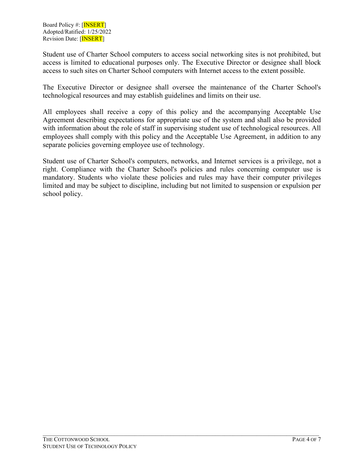Student use of Charter School computers to access social networking sites is not prohibited, but access is limited to educational purposes only. The Executive Director or designee shall block access to such sites on Charter School computers with Internet access to the extent possible.

The Executive Director or designee shall oversee the maintenance of the Charter School's technological resources and may establish guidelines and limits on their use.

All employees shall receive a copy of this policy and the accompanying Acceptable Use Agreement describing expectations for appropriate use of the system and shall also be provided with information about the role of staff in supervising student use of technological resources. All employees shall comply with this policy and the Acceptable Use Agreement, in addition to any separate policies governing employee use of technology.

Student use of Charter School's computers, networks, and Internet services is a privilege, not a right. Compliance with the Charter School's policies and rules concerning computer use is mandatory. Students who violate these policies and rules may have their computer privileges limited and may be subject to discipline, including but not limited to suspension or expulsion per school policy.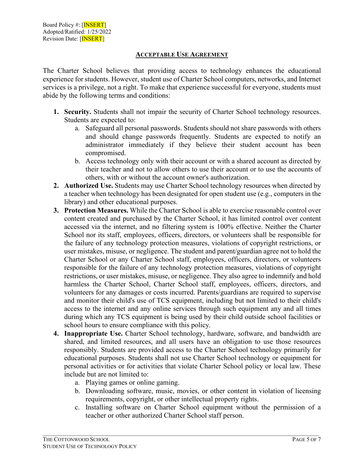## **ACCEPTABLE USE AGREEMENT**

The Charter School believes that providing access to technology enhances the educational experience for students. However, student use of Charter School computers, networks, and Internet services is a privilege, not a right. To make that experience successful for everyone, students must abide by the following terms and conditions:

- **1. Security.** Students shall not impair the security of Charter School technology resources. Students are expected to:
	- a. Safeguard all personal passwords. Students should not share passwords with others and should change passwords frequently. Students are expected to notify an administrator immediately if they believe their student account has been compromised.
	- b. Access technology only with their account or with a shared account as directed by their teacher and not to allow others to use their account or to use the accounts of others, with or without the account owner's authorization.
- **2. Authorized Use.** Students may use Charter School technology resources when directed by a teacher when technology has been designated for open student use (e.g., computers in the library) and other educational purposes.
- **3. Protection Measures.** While the Charter School is able to exercise reasonable control over content created and purchased by the Charter School, it has limited control over content accessed via the internet, and no filtering system is 100% effective. Neither the Charter School nor its staff, employees, officers, directors, or volunteers shall be responsible for the failure of any technology protection measures, violations of copyright restrictions, or user mistakes, misuse, or negligence. The student and parent/guardian agree not to hold the Charter School or any Charter School staff, employees, officers, directors, or volunteers responsible for the failure of any technology protection measures, violations of copyright restrictions, or user mistakes, misuse, or negligence. They also agree to indemnify and hold harmless the Charter School, Charter School staff, employees, officers, directors, and volunteers for any damages or costs incurred. Parents/guardians are required to supervise and monitor their child's use of TCS equipment, including but not limited to their child's access to the internet and any online services through such equipment any and all times during which any TCS equipment is being used by their child outside school facilities or school hours to ensure compliance with this policy.
- **4. Inappropriate Use.** Charter School technology, hardware, software, and bandwidth are shared, and limited resources, and all users have an obligation to use those resources responsibly. Students are provided access to the Charter School technology primarily for educational purposes. Students shall not use Charter School technology or equipment for personal activities or for activities that violate Charter School policy or local law. These include but are not limited to:
	- a. Playing games or online gaming.
	- b. Downloading software, music, movies, or other content in violation of licensing requirements, copyright, or other intellectual property rights.
	- c. Installing software on Charter School equipment without the permission of a teacher or other authorized Charter School staff person.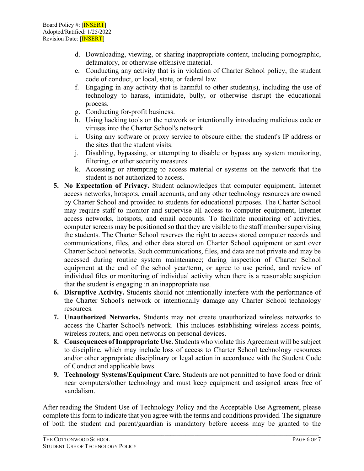- d. Downloading, viewing, or sharing inappropriate content, including pornographic, defamatory, or otherwise offensive material.
- e. Conducting any activity that is in violation of Charter School policy, the student code of conduct, or local, state, or federal law.
- f. Engaging in any activity that is harmful to other student(s), including the use of technology to harass, intimidate, bully, or otherwise disrupt the educational process.
- g. Conducting for-profit business.
- h. Using hacking tools on the network or intentionally introducing malicious code or viruses into the Charter School's network.
- i. Using any software or proxy service to obscure either the student's IP address or the sites that the student visits.
- j. Disabling, bypassing, or attempting to disable or bypass any system monitoring, filtering, or other security measures.
- k. Accessing or attempting to access material or systems on the network that the student is not authorized to access.
- **5. No Expectation of Privacy.** Student acknowledges that computer equipment, Internet access networks, hotspots, email accounts, and any other technology resources are owned by Charter School and provided to students for educational purposes. The Charter School may require staff to monitor and supervise all access to computer equipment, Internet access networks, hotspots, and email accounts. To facilitate monitoring of activities, computer screens may be positioned so that they are visible to the staff member supervising the students. The Charter School reserves the right to access stored computer records and communications, files, and other data stored on Charter School equipment or sent over Charter School networks. Such communications, files, and data are not private and may be accessed during routine system maintenance; during inspection of Charter School equipment at the end of the school year/term, or agree to use period, and review of individual files or monitoring of individual activity when there is a reasonable suspicion that the student is engaging in an inappropriate use.
- **6. Disruptive Activity.** Students should not intentionally interfere with the performance of the Charter School's network or intentionally damage any Charter School technology resources.
- **7. Unauthorized Networks.** Students may not create unauthorized wireless networks to access the Charter School's network. This includes establishing wireless access points, wireless routers, and open networks on personal devices.
- **8. Consequences of Inappropriate Use.** Students who violate this Agreement will be subject to discipline, which may include loss of access to Charter School technology resources and/or other appropriate disciplinary or legal action in accordance with the Student Code of Conduct and applicable laws.
- **9. Technology Systems/Equipment Care.** Students are not permitted to have food or drink near computers/other technology and must keep equipment and assigned areas free of vandalism.

After reading the Student Use of Technology Policy and the Acceptable Use Agreement, please complete this form to indicate that you agree with the terms and conditions provided. The signature of both the student and parent/guardian is mandatory before access may be granted to the